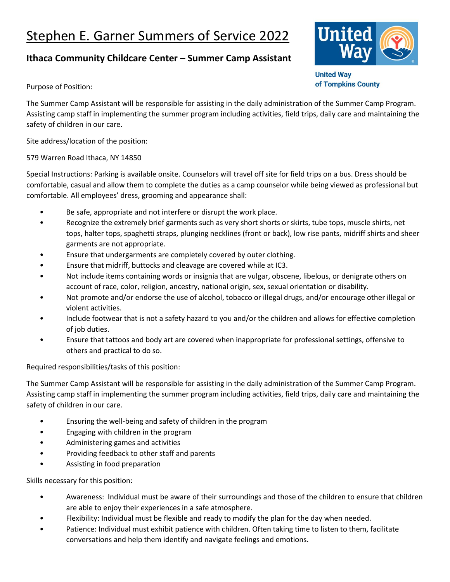## Stephen E. Garner Summers of Service 2022

## **Ithaca Community Childcare Center – Summer Camp Assistant**



**United Way** of Tompkins County

Purpose of Position:

The Summer Camp Assistant will be responsible for assisting in the daily administration of the Summer Camp Program. Assisting camp staff in implementing the summer program including activities, field trips, daily care and maintaining the safety of children in our care.

Site address/location of the position:

579 Warren Road Ithaca, NY 14850

Special Instructions: Parking is available onsite. Counselors will travel off site for field trips on a bus. Dress should be comfortable, casual and allow them to complete the duties as a camp counselor while being viewed as professional but comfortable. All employees' dress, grooming and appearance shall:

- Be safe, appropriate and not interfere or disrupt the work place.
- Recognize the extremely brief garments such as very short shorts or skirts, tube tops, muscle shirts, net tops, halter tops, spaghetti straps, plunging necklines (front or back), low rise pants, midriff shirts and sheer garments are not appropriate.
- Ensure that undergarments are completely covered by outer clothing.
- Ensure that midriff, buttocks and cleavage are covered while at IC3.
- Not include items containing words or insignia that are vulgar, obscene, libelous, or denigrate others on account of race, color, religion, ancestry, national origin, sex, sexual orientation or disability.
- Not promote and/or endorse the use of alcohol, tobacco or illegal drugs, and/or encourage other illegal or violent activities.
- Include footwear that is not a safety hazard to you and/or the children and allows for effective completion of job duties.
- Ensure that tattoos and body art are covered when inappropriate for professional settings, offensive to others and practical to do so.

Required responsibilities/tasks of this position:

The Summer Camp Assistant will be responsible for assisting in the daily administration of the Summer Camp Program. Assisting camp staff in implementing the summer program including activities, field trips, daily care and maintaining the safety of children in our care.

- Ensuring the well-being and safety of children in the program
- Engaging with children in the program
- Administering games and activities
- Providing feedback to other staff and parents
- Assisting in food preparation

Skills necessary for this position:

- Awareness: Individual must be aware of their surroundings and those of the children to ensure that children are able to enjoy their experiences in a safe atmosphere.
- Flexibility: Individual must be flexible and ready to modify the plan for the day when needed.
- Patience: Individual must exhibit patience with children. Often taking time to listen to them, facilitate conversations and help them identify and navigate feelings and emotions.